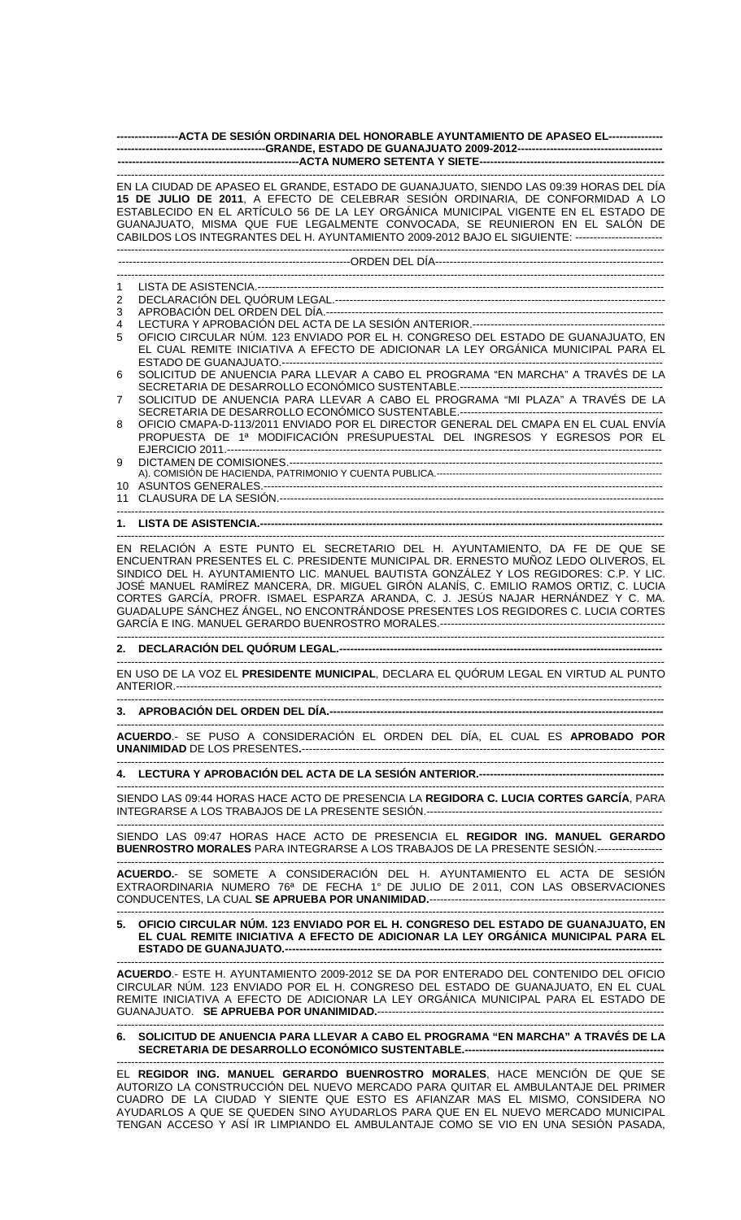| -----------------ACTA DE SESIÓN ORDINARIA DEL HONORABLE AYUNTAMIENTO DE APASEO EL--------------- |                                                                                                                                                                                                                                                                                                                                                                                                                                                                                                                                 |
|--------------------------------------------------------------------------------------------------|---------------------------------------------------------------------------------------------------------------------------------------------------------------------------------------------------------------------------------------------------------------------------------------------------------------------------------------------------------------------------------------------------------------------------------------------------------------------------------------------------------------------------------|
|                                                                                                  |                                                                                                                                                                                                                                                                                                                                                                                                                                                                                                                                 |
|                                                                                                  | EN LA CIUDAD DE APASEO EL GRANDE, ESTADO DE GUANAJUATO, SIENDO LAS 09:39 HORAS DEL DÍA<br>15 DE JULIO DE 2011, A EFECTO DE CELEBRAR SESIÓN ORDINARIA, DE CONFORMIDAD A LO<br>ESTABLECIDO EN EL ARTÍCULO 56 DE LA LEY ORGÁNICA MUNICIPAL VIGENTE EN EL ESTADO DE<br>GUANAJUATO, MISMA QUE FUE LEGALMENTE CONVOCADA, SE REUNIERON EN EL SALÓN DE<br>CABILDOS LOS INTEGRANTES DEL H. AYUNTAMIENTO 2009-2012 BAJO EL SIGUIENTE: ------------------------                                                                            |
|                                                                                                  |                                                                                                                                                                                                                                                                                                                                                                                                                                                                                                                                 |
|                                                                                                  |                                                                                                                                                                                                                                                                                                                                                                                                                                                                                                                                 |
| 1                                                                                                |                                                                                                                                                                                                                                                                                                                                                                                                                                                                                                                                 |
| 2                                                                                                |                                                                                                                                                                                                                                                                                                                                                                                                                                                                                                                                 |
| 3                                                                                                |                                                                                                                                                                                                                                                                                                                                                                                                                                                                                                                                 |
| 4                                                                                                |                                                                                                                                                                                                                                                                                                                                                                                                                                                                                                                                 |
| 5                                                                                                | OFICIO CIRCULAR NÚM. 123 ENVIADO POR EL H. CONGRESO DEL ESTADO DE GUANAJUATO, EN<br>EL CUAL REMITE INICIATIVA A EFECTO DE ADICIONAR LA LEY ORGÁNICA MUNICIPAL PARA EL                                                                                                                                                                                                                                                                                                                                                           |
| 6                                                                                                | SOLICITUD DE ANUENCIA PARA LLEVAR A CABO EL PROGRAMA "EN MARCHA" A TRAVÉS DE LA                                                                                                                                                                                                                                                                                                                                                                                                                                                 |
|                                                                                                  |                                                                                                                                                                                                                                                                                                                                                                                                                                                                                                                                 |
| 7                                                                                                | SOLICITUD DE ANUENCIA PARA LLEVAR A CABO EL PROGRAMA "MI PLAZA" A TRAVÉS DE LA                                                                                                                                                                                                                                                                                                                                                                                                                                                  |
|                                                                                                  |                                                                                                                                                                                                                                                                                                                                                                                                                                                                                                                                 |
| 8                                                                                                | OFICIO CMAPA-D-113/2011 ENVIADO POR EL DIRECTOR GENERAL DEL CMAPA EN EL CUAL ENVÍA<br>PROPUESTA DE 1ª MODIFICACIÓN PRESUPUESTAL DEL INGRESOS Y EGRESOS POR EL                                                                                                                                                                                                                                                                                                                                                                   |
| 9                                                                                                |                                                                                                                                                                                                                                                                                                                                                                                                                                                                                                                                 |
|                                                                                                  |                                                                                                                                                                                                                                                                                                                                                                                                                                                                                                                                 |
|                                                                                                  |                                                                                                                                                                                                                                                                                                                                                                                                                                                                                                                                 |
|                                                                                                  |                                                                                                                                                                                                                                                                                                                                                                                                                                                                                                                                 |
|                                                                                                  |                                                                                                                                                                                                                                                                                                                                                                                                                                                                                                                                 |
|                                                                                                  |                                                                                                                                                                                                                                                                                                                                                                                                                                                                                                                                 |
|                                                                                                  | EN RELACIÓN A ESTE PUNTO EL SECRETARIO DEL H. AYUNTAMIENTO, DA FE DE QUE SE<br>ENCUENTRAN PRESENTES EL C. PRESIDENTE MUNICIPAL DR. ERNESTO MUÑOZ LEDO OLIVEROS, EL<br>SINDICO DEL H. AYUNTAMIENTO LIC. MANUEL BAUTISTA GONZÁLEZ Y LOS REGIDORES: C.P. Y LIC.<br>JOSÉ MANUEL RAMÍREZ MANCERA, DR. MIGUEL GIRÓN ALANÍS, C. EMILIO RAMOS ORTIZ, C. LUCIA<br>CORTES GARCÍA, PROFR. ISMAEL ESPARZA ARANDA, C. J. JESÚS NAJAR HERNÁNDEZ Y C. MA.<br>GUADALUPE SÁNCHEZ ÁNGEL, NO ENCONTRÁNDOSE PRESENTES LOS REGIDORES C. LUCIA CORTES |
|                                                                                                  |                                                                                                                                                                                                                                                                                                                                                                                                                                                                                                                                 |
|                                                                                                  |                                                                                                                                                                                                                                                                                                                                                                                                                                                                                                                                 |
|                                                                                                  | EN USO DE LA VOZ EL PRESIDENTE MUNICIPAL, DECLARA EL QUÓRUM LEGAL EN VIRTUD AL PUNTO                                                                                                                                                                                                                                                                                                                                                                                                                                            |
|                                                                                                  |                                                                                                                                                                                                                                                                                                                                                                                                                                                                                                                                 |
|                                                                                                  | ACUERDO.- SE PUSO A CONSIDERACIÓN EL ORDEN DEL DÍA, EL CUAL ES APROBADO POR                                                                                                                                                                                                                                                                                                                                                                                                                                                     |
|                                                                                                  |                                                                                                                                                                                                                                                                                                                                                                                                                                                                                                                                 |
|                                                                                                  | SIENDO LAS 09:44 HORAS HACE ACTO DE PRESENCIA LA REGIDORA C. LUCIA CORTES GARCÍA, PARA                                                                                                                                                                                                                                                                                                                                                                                                                                          |
|                                                                                                  | SIENDO LAS 09:47 HORAS HACE ACTO DE PRESENCIA EL REGIDOR ING. MANUEL GERARDO<br>BUENROSTRO MORALES PARA INTEGRARSE A LOS TRABAJOS DE LA PRESENTE SESIÓN.------------------                                                                                                                                                                                                                                                                                                                                                      |
|                                                                                                  | ACUERDO.- SE SOMETE A CONSIDERACIÓN DEL H. AYUNTAMIENTO EL ACTA DE SESIÓN                                                                                                                                                                                                                                                                                                                                                                                                                                                       |
|                                                                                                  | EXTRAORDINARIA NUMERO 76ª DE FECHA 1º DE JULIO DE 2011, CON LAS OBSERVACIONES                                                                                                                                                                                                                                                                                                                                                                                                                                                   |
|                                                                                                  | 5. OFICIO CIRCULAR NÚM. 123 ENVIADO POR EL H. CONGRESO DEL ESTADO DE GUANAJUATO, EN<br>EL CUAL REMITE INICIATIVA A EFECTO DE ADICIONAR LA LEY ORGÁNICA MUNICIPAL PARA EL                                                                                                                                                                                                                                                                                                                                                        |
|                                                                                                  | ACUERDO.- ESTE H. AYUNTAMIENTO 2009-2012 SE DA POR ENTERADO DEL CONTENIDO DEL OFICIO<br>CIRCULAR NÚM. 123 ENVIADO POR EL H. CONGRESO DEL ESTADO DE GUANAJUATO, EN EL CUAL<br>REMITE INICIATIVA A EFECTO DE ADICIONAR LA LEY ORGÁNICA MUNICIPAL PARA EL ESTADO DE                                                                                                                                                                                                                                                                |
|                                                                                                  | 6. SOLICITUD DE ANUENCIA PARA LLEVAR A CABO EL PROGRAMA "EN MARCHA" A TRAVÉS DE LA                                                                                                                                                                                                                                                                                                                                                                                                                                              |
|                                                                                                  | EL REGIDOR ING. MANUEL GERARDO BUENROSTRO MORALES, HACE MENCIÓN DE QUE SE<br>AUTORIZO LA CONSTRUCCIÓN DEL NUEVO MERCADO PARA QUITAR EL AMBULANTAJE DEL PRIMER                                                                                                                                                                                                                                                                                                                                                                   |

CUADRO DE LA CIUDAD Y SIENTE QUE ESTO ES AFIANZAR MAS EL MISMO, CONSIDERA NO AYUDARLOS A QUE SE QUEDEN SINO AYUDARLOS PARA QUE EN EL NUEVO MERCADO MUNICIPAL TENGAN ACCESO Y ASÍ IR LIMPIANDO EL AMBULANTAJE COMO SE VIO EN UNA SESIÓN PASADA,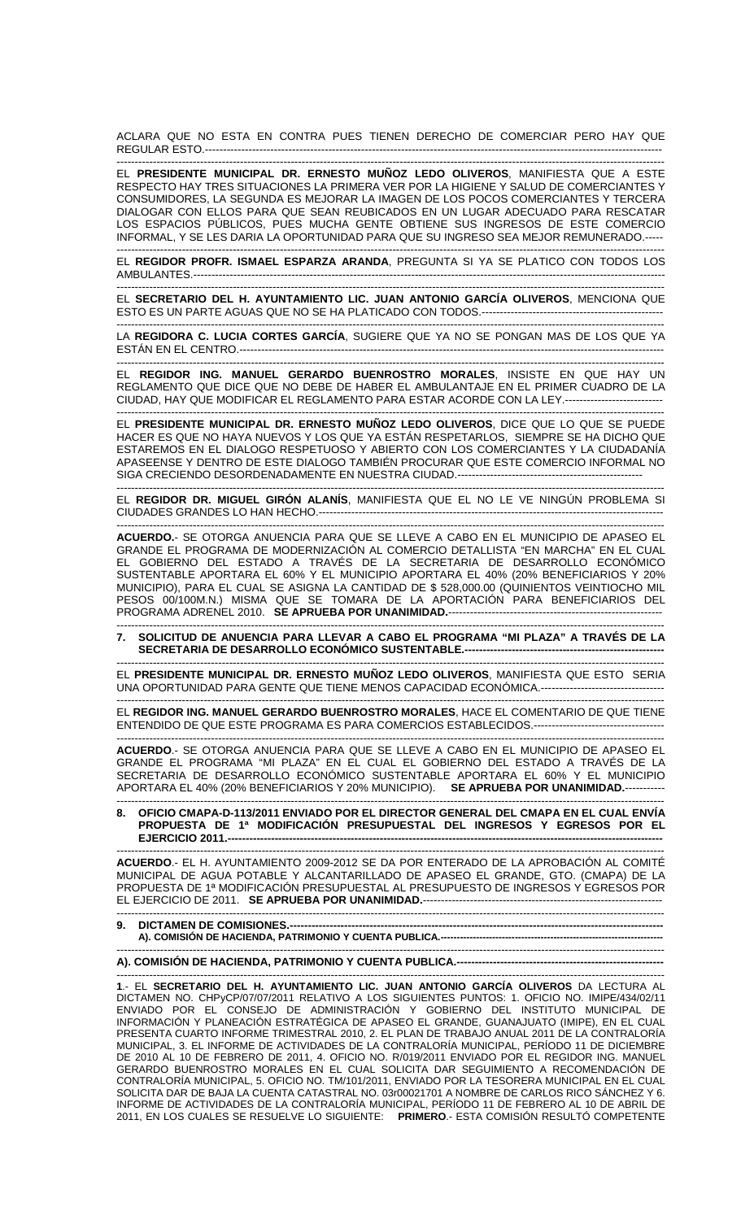ACLARA QUE NO ESTA EN CONTRA PUES TIENEN DERECHO DE COMERCIAR PERO HAY QUE REGULAR ESTO.---

------------------------------------------------------------------------------------------------------------------------------------------------------- EL **PRESIDENTE MUNICIPAL DR. ERNESTO MUÑOZ LEDO OLIVEROS**, MANIFIESTA QUE A ESTE RESPECTO HAY TRES SITUACIONES LA PRIMERA VER POR LA HIGIENE Y SALUD DE COMERCIANTES Y CONSUMIDORES, LA SEGUNDA ES MEJORAR LA IMAGEN DE LOS POCOS COMERCIANTES Y TERCERA DIALOGAR CON ELLOS PARA QUE SEAN REUBICADOS EN UN LUGAR ADECUADO PARA RESCATAR LOS ESPACIOS PÚBLICOS, PUES MUCHA GENTE OBTIENE SUS INGRESOS DE ESTE COMERCIO INFORMAL, Y SE LES DARIA LA OPORTUNIDAD PARA QUE SU INGRESO SEA MEJOR REMUNERADO.-----

------------------------------------------------------------------------------------------------------------------------------------------------------- EL **REGIDOR PROFR. ISMAEL ESPARZA ARANDA**, PREGUNTA SI YA SE PLATICO CON TODOS LOS AMBULANTES.----------------------------------------------------------------------------------------------------------------------------------

------------------------------------------------------------------------------------------------------------------------------------------------------- EL **SECRETARIO DEL H. AYUNTAMIENTO LIC. JUAN ANTONIO GARCÍA OLIVEROS**, MENCIONA QUE ESTO ES UN PARTE AGUAS QUE NO SE HA PLATICADO CON TODOS.--------------------------------------------------

------------------------------------------------------------------------------------------------------------------------------------------------------- LA **REGIDORA C. LUCIA CORTES GARCÍA**, SUGIERE QUE YA NO SE PONGAN MAS DE LOS QUE YA ESTÁN EN EL CENTRO.---------------------------------------------------------------------------------------------------------------------

-------------------------------------------------------------------------------------------------------------------------------------------------------

EL **REGIDOR ING. MANUEL GERARDO BUENROSTRO MORALES**, INSISTE EN QUE HAY UN REGLAMENTO QUE DICE QUE NO DEBE DE HABER EL AMBULANTAJE EN EL PRIMER CUADRO DE LA CIUDAD, HAY QUE MODIFICAR EL REGLAMENTO PARA ESTAR ACORDE CON LA LEY.---------------------------

------------------------------------------------------------------------------------------------------------------------------------------------------- EL **PRESIDENTE MUNICIPAL DR. ERNESTO MUÑOZ LEDO OLIVEROS**, DICE QUE LO QUE SE PUEDE HACER ES QUE NO HAYA NUEVOS Y LOS QUE YA ESTÁN RESPETARLOS, SIEMPRE SE HA DICHO QUE ESTAREMOS EN EL DIALOGO RESPETUOSO Y ABIERTO CON LOS COMERCIANTES Y LA CIUDADANÍA APASEENSE Y DENTRO DE ESTE DIALOGO TAMBIÉN PROCURAR QUE ESTE COMERCIO INFORMAL NO SIGA CRECIENDO DESORDENADAMENTE EN NUESTRA CIUDAD.----------

------------------------------------------------------------------------------------------------------------------------------------------------------- EL **REGIDOR DR. MIGUEL GIRÓN ALANÍS**, MANIFIESTA QUE EL NO LE VE NINGÚN PROBLEMA SI CIUDADES GRANDES LO HAN HECHO.-----------------------------------------------------------------------------------------------

------------------------------------------------------------------------------------------------------------------------------------------------------- **ACUERDO.**- SE OTORGA ANUENCIA PARA QUE SE LLEVE A CABO EN EL MUNICIPIO DE APASEO EL GRANDE EL PROGRAMA DE MODERNIZACIÓN AL COMERCIO DETALLISTA "EN MARCHA" EN EL CUAL EL GOBIERNO DEL ESTADO A TRAVÉS DE LA SECRETARIA DE DESARROLLO ECONÓMICO SUSTENTABLE APORTARA EL 60% Y EL MUNICIPIO APORTARA EL 40% (20% BENEFICIARIOS Y 20% MUNICIPIO), PARA EL CUAL SE ASIGNA LA CANTIDAD DE \$ 528,000.00 (QUINIENTOS VEINTIOCHO MIL PESOS 00/100M.N.) MISMA QUE SE TOMARA DE LA APORTACIÓN PARA BENEFICIARIOS DEL PROGRAMA ADRENEL 2010. **SE APRUEBA POR UNANIMIDAD.**-----------------------------------------------------------

------------------------------------------------------------------------------------------------------------------------------------------------------- **7. SOLICITUD DE ANUENCIA PARA LLEVAR A CABO EL PROGRAMA "MI PLAZA" A TRAVÉS DE LA SECRETARIA DE DESARROLLO ECONÓMICO SUSTENTABLE.-------------------------------------------------------**

------------------------------------------------------------------------------------------------------------------------------------------------------- EL **PRESIDENTE MUNICIPAL DR. ERNESTO MUÑOZ LEDO OLIVEROS**, MANIFIESTA QUE ESTO SERIA UNA OPORTUNIDAD PARA GENTE QUE TIENE MENOS CAPACIDAD ECONÓMICA.----------------------------------

------------------------------------------------------------------------------------------------------------------------------------------------------- EL **REGIDOR ING. MANUEL GERARDO BUENROSTRO MORALES**, HACE EL COMENTARIO DE QUE TIENE ENTENDIDO DE QUE ESTE PROGRAMA ES PARA COMERCIOS ESTABLECIDOS.------------------------------------

------------------------------------------------------------------------------------------------------------------------------------------------------- **ACUERDO**.- SE OTORGA ANUENCIA PARA QUE SE LLEVE A CABO EN EL MUNICIPIO DE APASEO EL GRANDE EL PROGRAMA "MI PLAZA" EN EL CUAL EL GOBIERNO DEL ESTADO A TRAVÉS DE LA SECRETARIA DE DESARROLLO ECONÓMICO SUSTENTABLE APORTARA EL 60% Y EL MUNICIPIO APORTARA EL 40% (20% BENEFICIARIOS Y 20% MUNICIPIO). **SE APRUEBA POR UNANIMIDAD.**-----------

------------------------------------------------------------------------------------------------------------------------------------------------------- **8. OFICIO CMAPA-D-113/2011 ENVIADO POR EL DIRECTOR GENERAL DEL CMAPA EN EL CUAL ENVÍA PROPUESTA DE 1ª MODIFICACIÓN PRESUPUESTAL DEL INGRESOS Y EGRESOS POR EL EJERCICIO 2011.--**-------------------------------------------------------------------------------------------------------------------------------------------------------

**ACUERDO**.- EL H. AYUNTAMIENTO 2009-2012 SE DA POR ENTERADO DE LA APROBACIÓN AL COMITÉ MUNICIPAL DE AGUA POTABLE Y ALCANTARILLADO DE APASEO EL GRANDE, GTO. (CMAPA) DE LA PROPUESTA DE 1ª MODIFICACIÓN PRESUPUESTAL AL PRESUPUESTO DE INGRESOS Y EGRESOS POR EL EJERCICIO DE 2011. **SE APRUEBA POR UNANIMIDAD.**----------------------------------------------------------------------------------------------------------------------------------------------------------------------------

**9. DICTAMEN DE COMISIONES.-A). COMISIÓN DE HACIENDA, PATRIMONIO Y CUENTA PUBLICA.---------------------------------------------------------------------** 

------------------------------------------------------------------------------------------------------------------------------------------------------- **A). COMISION DE HACIENDA, PATRIMONIO Y CUENTA PUBLICA.----**

------------------------------------------------------------------------------------------------------------------------------------------------------- **1**.- EL **SECRETARIO DEL H. AYUNTAMIENTO LIC. JUAN ANTONIO GARCÍA OLIVEROS** DA LECTURA AL DICTAMEN NO. CHPyCP/07/07/2011 RELATIVO A LOS SIGUIENTES PUNTOS: 1. OFICIO NO. IMIPE/434/02/11 ENVIADO POR EL CONSEJO DE ADMINISTRACIÓN Y GOBIERNO DEL INSTITUTO MUNICIPAL DE INFORMACIÓN Y PLANEACIÓN ESTRATÉGICA DE APASEO EL GRANDE, GUANAJUATO (IMIPE), EN EL CUAL PRESENTA CUARTO INFORME TRIMESTRAL 2010, 2. EL PLAN DE TRABAJO ANUAL 2011 DE LA CONTRALORÍA MUNICIPAL, 3. EL INFORME DE ACTIVIDADES DE LA CONTRALORÍA MUNICIPAL, PERÍODO 11 DE DICIEMBRE DE 2010 AL 10 DE FEBRERO DE 2011, 4. OFICIO NO. R/019/2011 ENVIADO POR EL REGIDOR ING. MANUEL GERARDO BUENROSTRO MORALES EN EL CUAL SOLICITA DAR SEGUIMIENTO A RECOMENDACIÓN DE CONTRALORÍA MUNICIPAL, 5. OFICIO NO. TM/101/2011, ENVIADO POR LA TESORERA MUNICIPAL EN EL CUAL SOLICITA DAR DE BAJA LA CUENTA CATASTRAL NO. 03r00021701 A NOMBRE DE CARLOS RICO SÁNCHEZ Y 6. INFORME DE ACTIVIDADES DE LA CONTRALORÍA MUNICIPAL, PERÍODO 11 DE FEBRERO AL 10 DE ABRIL DE 2011, EN LOS CUALES SE RESUELVE LO SIGUIENTE: **PRIMERO**.- ESTA COMISIÓN RESULTÓ COMPETENTE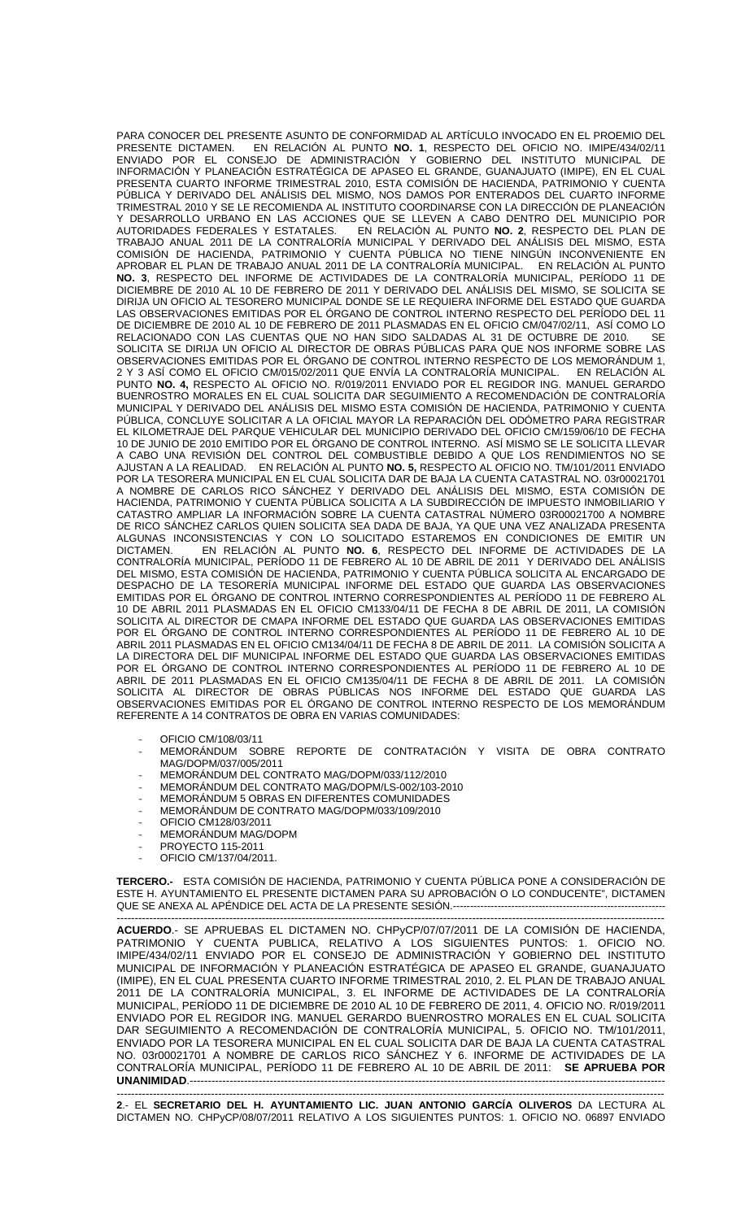PARA CONOCER DEL PRESENTE ASUNTO DE CONFORMIDAD AL ARTÍCULO INVOCADO EN EL PROEMIO DEL PRESENTE DICTAMEN. EN RELACIÓN AL PUNTO **NO. 1**, RESPECTO DEL OFICIO NO. IMIPE/434/02/11 ENVIADO POR EL CONSEJO DE ADMINISTRACIÓN Y GOBIERNO DEL INSTITUTO MUNICIPAL DE INFORMACIÓN Y PLANEACIÓN ESTRATÉGICA DE APASEO EL GRANDE, GUANAJUATO (IMIPE), EN EL CUAL PRESENTA CUARTO INFORME TRIMESTRAL 2010, ESTA COMISIÓN DE HACIENDA, PATRIMONIO Y CUENTA PÚBLICA Y DERIVADO DEL ANÁLISIS DEL MISMO, NOS DAMOS POR ENTERADOS DEL CUARTO INFORME TRIMESTRAL 2010 Y SE LE RECOMIENDA AL INSTITUTO COORDINARSE CON LA DIRECCIÓN DE PLANEACIÓN Y DESARROLLO URBANO EN LAS ACCIONES QUE SE LLEVEN A CABO DENTRO DEL MUNICIPIO POR AUTORIDADES FEDERALES Y ESTATALES. EN RELACIÓN AL PUNTO **NO. 2**, RESPECTO DEL PLAN DE TRABAJO ANUAL 2011 DE LA CONTRALORÍA MUNICIPAL Y DERIVADO DEL ANÁLISIS DEL MISMO, ESTA COMISIÓN DE HACIENDA, PATRIMONIO Y CUENTA PÚBLICA NO TIENE NINGÚN INCONVENIENTE EN APROBAR EL PLAN DE TRABAJO ANUAL 2011 DE LA CONTRALORÍA MUNICIPAL. EN RELACIÓN AL PUNTO **NO. 3**, RESPECTO DEL INFORME DE ACTIVIDADES DE LA CONTRALORÍA MUNICIPAL, PERÍODO 11 DE DICIEMBRE DE 2010 AL 10 DE FEBRERO DE 2011 Y DERIVADO DEL ANÁLISIS DEL MISMO, SE SOLICITA SE DIRIJA UN OFICIO AL TESORERO MUNICIPAL DONDE SE LE REQUIERA INFORME DEL ESTADO QUE GUARDA LAS OBSERVACIONES EMITIDAS POR EL ÓRGANO DE CONTROL INTERNO RESPECTO DEL PERÍODO DEL 11 DE DICIEMBRE DE 2010 AL 10 DE FEBRERO DE 2011 PLASMADAS EN EL OFICIO CM/047/02/11, ASÍ COMO LO RELACIONADO CON LAS CUENTAS QUE NO HAN SIDO SALDADAS AL 31 DE OCTUBRE DE 2010. SE SOLICITA SE DIRIJA UN OFICIO AL DIRECTOR DE OBRAS PÚBLICAS PARA QUE NOS INFORME SOBRE LAS OBSERVACIONES EMITIDAS POR EL ÓRGANO DE CONTROL INTERNO RESPECTO DE LOS MEMORÁNDUM 1, 2 Y 3 ASÍ COMO EL OFICIO CM/015/02/2011 QUE ENVÍA LA CONTRALORÍA MUNICIPAL. EN RELACIÓN AL PUNTO **NO. 4,** RESPECTO AL OFICIO NO. R/019/2011 ENVIADO POR EL REGIDOR ING. MANUEL GERARDO BUENROSTRO MORALES EN EL CUAL SOLICITA DAR SEGUIMIENTO A RECOMENDACIÓN DE CONTRALORÍA MUNICIPAL Y DERIVADO DEL ANÁLISIS DEL MISMO ESTA COMISIÓN DE HACIENDA, PATRIMONIO Y CUENTA PÚBLICA, CONCLUYE SOLICITAR A LA OFICIAL MAYOR LA REPARACIÓN DEL ODÓMETRO PARA REGISTRAR EL KILOMETRAJE DEL PARQUE VEHICULAR DEL MUNICIPIO DERIVADO DEL OFICIO CM/159/06/10 DE FECHA 10 DE JUNIO DE 2010 EMITIDO POR EL ÓRGANO DE CONTROL INTERNO. ASÍ MISMO SE LE SOLICITA LLEVAR A CABO UNA REVISIÓN DEL CONTROL DEL COMBUSTIBLE DEBIDO A QUE LOS RENDIMIENTOS NO SE AJUSTAN A LA REALIDAD. EN RELACIÓN AL PUNTO **NO. 5,** RESPECTO AL OFICIO NO. TM/101/2011 ENVIADO POR LA TESORERA MUNICIPAL EN EL CUAL SOLICITA DAR DE BAJA LA CUENTA CATASTRAL NO. 03r00021701 A NOMBRE DE CARLOS RICO SÁNCHEZ Y DERIVADO DEL ANÁLISIS DEL MISMO, ESTA COMISIÓN DE HACIENDA, PATRIMONIO Y CUENTA PÚBLICA SOLICITA A LA SUBDIRECCIÓN DE IMPUESTO INMOBILIARIO Y CATASTRO AMPLIAR LA INFORMACIÓN SOBRE LA CUENTA CATASTRAL NÚMERO 03R00021700 A NOMBRE DE RICO SÁNCHEZ CARLOS QUIEN SOLICITA SEA DADA DE BAJA, YA QUE UNA VEZ ANALIZADA PRESENTA ALGUNAS INCONSISTENCIAS Y CON LO SOLICITADO ESTAREMOS EN CONDICIONES DE EMITIR UN DICTAMEN. EN RELACIÓN AL PUNTO **NO. 6**, RESPECTO DEL INFORME DE ACTIVIDADES DE LA CONTRALORÍA MUNICIPAL, PERÍODO 11 DE FEBRERO AL 10 DE ABRIL DE 2011 Y DERIVADO DEL ANÁLISIS DEL MISMO, ESTA COMISIÓN DE HACIENDA, PATRIMONIO Y CUENTA PÚBLICA SOLICITA AL ENCARGADO DE DESPACHO DE LA TESORERÍA MUNICIPAL INFORME DEL ESTADO QUE GUARDA LAS OBSERVACIONES EMITIDAS POR EL ÓRGANO DE CONTROL INTERNO CORRESPONDIENTES AL PERÍODO 11 DE FEBRERO AL 10 DE ABRIL 2011 PLASMADAS EN EL OFICIO CM133/04/11 DE FECHA 8 DE ABRIL DE 2011, LA COMISIÓN SOLICITA AL DIRECTOR DE CMAPA INFORME DEL ESTADO QUE GUARDA LAS OBSERVACIONES EMITIDAS POR EL ÓRGANO DE CONTROL INTERNO CORRESPONDIENTES AL PERÍODO 11 DE FEBRERO AL 10 DE ABRIL 2011 PLASMADAS EN EL OFICIO CM134/04/11 DE FECHA 8 DE ABRIL DE 2011. LA COMISIÓN SOLICITA A LA DIRECTORA DEL DIF MUNICIPAL INFORME DEL ESTADO QUE GUARDA LAS OBSERVACIONES EMITIDAS POR EL ÓRGANO DE CONTROL INTERNO CORRESPONDIENTES AL PERÍODO 11 DE FEBRERO AL 10 DE ABRIL DE 2011 PLASMADAS EN EL OFICIO CM135/04/11 DE FECHA 8 DE ABRIL DE 2011. LA COMISIÓN SOLICITA AL DIRECTOR DE OBRAS PÚBLICAS NOS INFORME DEL ESTADO QUE GUARDA LAS OBSERVACIONES EMITIDAS POR EL ÓRGANO DE CONTROL INTERNO RESPECTO DE LOS MEMORÁNDUM REFERENTE A 14 CONTRATOS DE OBRA EN VARIAS COMUNIDADES:

- OFICIO CM/108/03/11
- MEMORÁNDUM SOBRE REPORTE DE CONTRATACIÓN Y VISITA DE OBRA CONTRATO MAG/DOPM/037/005/2011
- MEMORÁNDUM DEL CONTRATO MAG/DOPM/033/112/2010
- MEMORÁNDUM DEL CONTRATO MAG/DOPM/LS-002/103-2010
- MEMORÁNDUM 5 OBRAS EN DIFERENTES COMUNIDADES
- MEMORÁNDUM DE CONTRATO MAG/DOPM/033/109/2010
- OFICIO CM128/03/2011
- MEMORÁNDUM MAG/DOPM
- PROYECTO 115-2011
- OFICIO CM/137/04/2011.

**TERCERO.-** ESTA COMISIÓN DE HACIENDA, PATRIMONIO Y CUENTA PÚBLICA PONE A CONSIDERACIÓN DE ESTE H. AYUNTAMIENTO EL PRESENTE DICTAMEN PARA SU APROBACIÓN O LO CONDUCENTE", DICTAMEN QUE SE ANEXA AL APÉNDICE DEL ACTA DE LA PRESENTE SESIÓN.----

------------------------------------------------------------------------------------------------------------------------------------------------------- **ACUERDO**.- SE APRUEBAS EL DICTAMEN NO. CHPyCP/07/07/2011 DE LA COMISIÓN DE HACIENDA, PATRIMONIO Y CUENTA PUBLICA, RELATIVO A LOS SIGUIENTES PUNTOS: 1. OFICIO NO. IMIPE/434/02/11 ENVIADO POR EL CONSEJO DE ADMINISTRACIÓN Y GOBIERNO DEL INSTITUTO MUNICIPAL DE INFORMACIÓN Y PLANEACIÓN ESTRATÉGICA DE APASEO EL GRANDE, GUANAJUATO (IMIPE), EN EL CUAL PRESENTA CUARTO INFORME TRIMESTRAL 2010, 2. EL PLAN DE TRABAJO ANUAL 2011 DE LA CONTRALORÍA MUNICIPAL, 3. EL INFORME DE ACTIVIDADES DE LA CONTRALORÍA MUNICIPAL, PERÍODO 11 DE DICIEMBRE DE 2010 AL 10 DE FEBRERO DE 2011, 4. OFICIO NO. R/019/2011 ENVIADO POR EL REGIDOR ING. MANUEL GERARDO BUENROSTRO MORALES EN EL CUAL SOLICITA DAR SEGUIMIENTO A RECOMENDACIÓN DE CONTRALORÍA MUNICIPAL, 5. OFICIO NO. TM/101/2011, ENVIADO POR LA TESORERA MUNICIPAL EN EL CUAL SOLICITA DAR DE BAJA LA CUENTA CATASTRAL NO. 03r00021701 A NOMBRE DE CARLOS RICO SÁNCHEZ Y 6. INFORME DE ACTIVIDADES DE LA CONTRALORÍA MUNICIPAL, PERÍODO 11 DE FEBRERO AL 10 DE ABRIL DE 2011: **SE APRUEBA POR UNANIMIDAD.----**

------------------------------------------------------------------------------------------------------------------------------------------------------- **2**.- EL **SECRETARIO DEL H. AYUNTAMIENTO LIC. JUAN ANTONIO GARCÍA OLIVEROS** DA LECTURA AL DICTAMEN NO. CHPyCP/08/07/2011 RELATIVO A LOS SIGUIENTES PUNTOS: 1. OFICIO NO. 06897 ENVIADO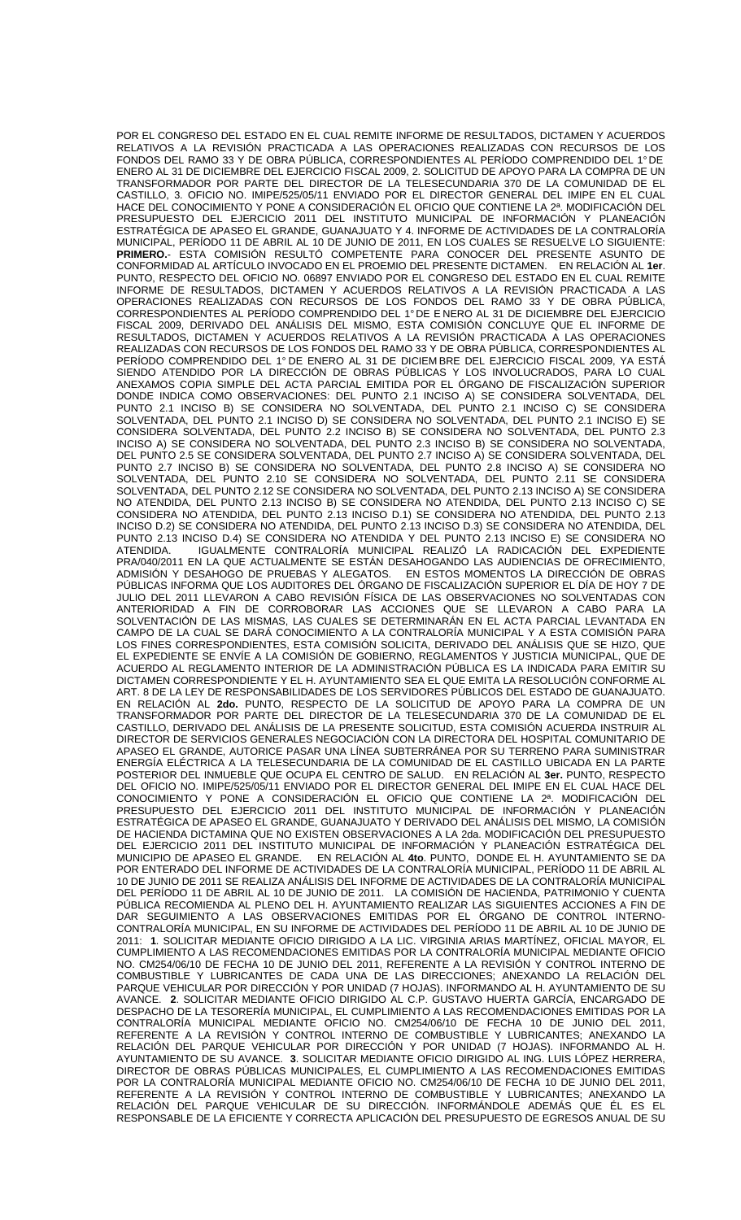POR EL CONGRESO DEL ESTADO EN EL CUAL REMITE INFORME DE RESULTADOS, DICTAMEN Y ACUERDOS RELATIVOS A LA REVISIÓN PRACTICADA A LAS OPERACIONES REALIZADAS CON RECURSOS DE LOS FONDOS DEL RAMO 33 Y DE OBRA PÚBLICA, CORRESPONDIENTES AL PERÍODO COMPRENDIDO DEL 1° DE ENERO AL 31 DE DICIEMBRE DEL EJERCICIO FISCAL 2009, 2. SOLICITUD DE APOYO PARA LA COMPRA DE UN TRANSFORMADOR POR PARTE DEL DIRECTOR DE LA TELESECUNDARIA 370 DE LA COMUNIDAD DE EL CASTILLO, 3. OFICIO NO. IMIPE/525/05/11 ENVIADO POR EL DIRECTOR GENERAL DEL IMIPE EN EL CUAL HACE DEL CONOCIMIENTO Y PONE A CONSIDERACIÓN EL OFICIO QUE CONTIENE LA 2ª. MODIFICACIÓN DEL PRESUPUESTO DEL EJERCICIO 2011 DEL INSTITUTO MUNICIPAL DE INFORMACIÓN Y PLANEACIÓN ESTRATÉGICA DE APASEO EL GRANDE, GUANAJUATO Y 4. INFORME DE ACTIVIDADES DE LA CONTRALORÍA MUNICIPAL, PERÍODO 11 DE ABRIL AL 10 DE JUNIO DE 2011, EN LOS CUALES SE RESUELVE LO SIGUIENTE: **PRIMERO.**- ESTA COMISIÓN RESULTÓ COMPETENTE PARA CONOCER DEL PRESENTE ASUNTO DE CONFORMIDAD AL ARTÍCULO INVOCADO EN EL PROEMIO DEL PRESENTE DICTAMEN. EN RELACIÓN AL **1er**. PUNTO, RESPECTO DEL OFICIO NO. 06897 ENVIADO POR EL CONGRESO DEL ESTADO EN EL CUAL REMITE INFORME DE RESULTADOS, DICTAMEN Y ACUERDOS RELATIVOS A LA REVISIÓN PRACTICADA A LAS OPERACIONES REALIZADAS CON RECURSOS DE LOS FONDOS DEL RAMO 33 Y DE OBRA PÚBLICA, CORRESPONDIENTES AL PERÍODO COMPRENDIDO DEL 1° DE E NERO AL 31 DE DICIEMBRE DEL EJERCICIO FISCAL 2009, DERIVADO DEL ANÁLISIS DEL MISMO, ESTA COMISIÓN CONCLUYE QUE EL INFORME DE RESULTADOS, DICTAMEN Y ACUERDOS RELATIVOS A LA REVISIÓN PRACTICADA A LAS OPERACIONES REALIZADAS CON RECURSOS DE LOS FONDOS DEL RAMO 33 Y DE OBRA PÚBLICA, CORRESPONDIENTES AL PERÍODO COMPRENDIDO DEL 1° DE ENERO AL 31 DE DICIEM BRE DEL EJERCICIO FISCAL 2009, YA ESTÁ SIENDO ATENDIDO POR LA DIRECCIÓN DE OBRAS PÚBLICAS Y LOS INVOLUCRADOS, PARA LO CUAL ANEXAMOS COPIA SIMPLE DEL ACTA PARCIAL EMITIDA POR EL ÓRGANO DE FISCALIZACIÓN SUPERIOR DONDE INDICA COMO OBSERVACIONES: DEL PUNTO 2.1 INCISO A) SE CONSIDERA SOLVENTADA, DEL PUNTO 2.1 INCISO B) SE CONSIDERA NO SOLVENTADA, DEL PUNTO 2.1 INCISO C) SE CONSIDERA SOLVENTADA, DEL PUNTO 2.1 INCISO D) SE CONSIDERA NO SOLVENTADA, DEL PUNTO 2.1 INCISO E) SE CONSIDERA SOLVENTADA, DEL PUNTO 2.2 INCISO B) SE CONSIDERA NO SOLVENTADA, DEL PUNTO 2.3 INCISO A) SE CONSIDERA NO SOLVENTADA, DEL PUNTO 2.3 INCISO B) SE CONSIDERA NO SOLVENTADA, DEL PUNTO 2.5 SE CONSIDERA SOLVENTADA, DEL PUNTO 2.7 INCISO A) SE CONSIDERA SOLVENTADA, DEL PUNTO 2.7 INCISO B) SE CONSIDERA NO SOLVENTADA, DEL PUNTO 2.8 INCISO A) SE CONSIDERA NO SOLVENTADA, DEL PUNTO 2.10 SE CONSIDERA NO SOLVENTADA, DEL PUNTO 2.11 SE CONSIDERA SOLVENTADA, DEL PUNTO 2.12 SE CONSIDERA NO SOLVENTADA, DEL PUNTO 2.13 INCISO A) SE CONSIDERA NO ATENDIDA, DEL PUNTO 2.13 INCISO B) SE CONSIDERA NO ATENDIDA, DEL PUNTO 2.13 INCISO C) SE CONSIDERA NO ATENDIDA, DEL PUNTO 2.13 INCISO D.1) SE CONSIDERA NO ATENDIDA, DEL PUNTO 2.13 INCISO D.2) SE CONSIDERA NO ATENDIDA, DEL PUNTO 2.13 INCISO D.3) SE CONSIDERA NO ATENDIDA, DEL PUNTO 2.13 INCISO D.4) SE CONSIDERA NO ATENDIDA Y DEL PUNTO 2.13 INCISO E) SE CONSIDERA NO ATENDIDA. IGUALMENTE CONTRALORÍA MUNICIPAL REALIZÓ LA RADICACIÓN DEL EXPEDIENTE PRA/040/2011 EN LA QUE ACTUALMENTE SE ESTÁN DESAHOGANDO LAS AUDIENCIAS DE OFRECIMIENTO, ADMISIÓN Y DESAHOGO DE PRUEBAS Y ALEGATOS. EN ESTOS MOMENTOS LA DIRECCIÓN DE OBRAS PÚBLICAS INFORMA QUE LOS AUDITORES DEL ÓRGANO DE FISCALIZACIÓN SUPERIOR EL DÍA DE HOY 7 DE JULIO DEL 2011 LLEVARON A CABO REVISIÓN FÍSICA DE LAS OBSERVACIONES NO SOLVENTADAS CON ANTERIORIDAD A FIN DE CORROBORAR LAS ACCIONES QUE SE LLEVARON A CABO PARA LA SOLVENTACIÓN DE LAS MISMAS, LAS CUALES SE DETERMINARÁN EN EL ACTA PARCIAL LEVANTADA EN CAMPO DE LA CUAL SE DARÁ CONOCIMIENTO A LA CONTRALORÍA MUNICIPAL Y A ESTA COMISIÓN PARA LOS FINES CORRESPONDIENTES, ESTA COMISIÓN SOLICITA, DERIVADO DEL ANÁLISIS QUE SE HIZO, QUE EL EXPEDIENTE SE ENVÍE A LA COMISIÓN DE GOBIERNO, REGLAMENTOS Y JUSTICIA MUNICIPAL, QUE DE ACUERDO AL REGLAMENTO INTERIOR DE LA ADMINISTRACIÓN PÚBLICA ES LA INDICADA PARA EMITIR SU DICTAMEN CORRESPONDIENTE Y EL H. AYUNTAMIENTO SEA EL QUE EMITA LA RESOLUCIÓN CONFORME AL ART. 8 DE LA LEY DE RESPONSABILIDADES DE LOS SERVIDORES PÚBLICOS DEL ESTADO DE GUANAJUATO. EN RELACIÓN AL **2do.** PUNTO, RESPECTO DE LA SOLICITUD DE APOYO PARA LA COMPRA DE UN TRANSFORMADOR POR PARTE DEL DIRECTOR DE LA TELESECUNDARIA 370 DE LA COMUNIDAD DE EL CASTILLO, DERIVADO DEL ANÁLISIS DE LA PRESENTE SOLICITUD, ESTA COMISIÓN ACUERDA INSTRUIR AL DIRECTOR DE SERVICIOS GENERALES NEGOCIACIÓN CON LA DIRECTORA DEL HOSPITAL COMUNITARIO DE APASEO EL GRANDE, AUTORICE PASAR UNA LÍNEA SUBTERRÁNEA POR SU TERRENO PARA SUMINISTRAR ENERGÍA ELÉCTRICA A LA TELESECUNDARIA DE LA COMUNIDAD DE EL CASTILLO UBICADA EN LA PARTE POSTERIOR DEL INMUEBLE QUE OCUPA EL CENTRO DE SALUD. EN RELACIÓN AL **3er.** PUNTO, RESPECTO DEL OFICIO NO. IMIPE/525/05/11 ENVIADO POR EL DIRECTOR GENERAL DEL IMIPE EN EL CUAL HACE DEL CONOCIMIENTO Y PONE A CONSIDERACIÓN EL OFICIO QUE CONTIENE LA 2ª. MODIFICACIÓN DEL PRESUPUESTO DEL EJERCICIO 2011 DEL INSTITUTO MUNICIPAL DE INFORMACIÓN Y PLANEACIÓN ESTRATÉGICA DE APASEO EL GRANDE, GUANAJUATO Y DERIVADO DEL ANÁLISIS DEL MISMO, LA COMISIÓN DE HACIENDA DICTAMINA QUE NO EXISTEN OBSERVACIONES A LA 2da. MODIFICACIÓN DEL PRESUPUESTO DEL EJERCICIO 2011 DEL INSTITUTO MUNICIPAL DE INFORMACIÓN Y PLANEACIÓN ESTRATÉGICA DEL<br>MUNICIPIO DE APASEO EL GRANDE. EN RELACIÓN AL 4to. PUNTO, DONDE EL H. AYUNTAMIENTO SE DA EN RELACIÓN AL 4to. PUNTO, DONDE EL H. AYUNTAMIENTO SE DA POR ENTERADO DEL INFORME DE ACTIVIDADES DE LA CONTRALORÍA MUNICIPAL, PERÍODO 11 DE ABRIL AL 10 DE JUNIO DE 2011 SE REALIZA ANÁLISIS DEL INFORME DE ACTIVIDADES DE LA CONTRALORÍA MUNICIPAL DEL PERÍODO 11 DE ABRIL AL 10 DE JUNIO DE 2011. LA COMISIÓN DE HACIENDA, PATRIMONIO Y CUENTA PÚBLICA RECOMIENDA AL PLENO DEL H. AYUNTAMIENTO REALIZAR LAS SIGUIENTES ACCIONES A FIN DE DAR SEGUIMIENTO A LAS OBSERVACIONES EMITIDAS POR EL ÓRGANO DE CONTROL INTERNO-CONTRALORÍA MUNICIPAL, EN SU INFORME DE ACTIVIDADES DEL PERÍODO 11 DE ABRIL AL 10 DE JUNIO DE 2011: **1**. SOLICITAR MEDIANTE OFICIO DIRIGIDO A LA LIC. VIRGINIA ARIAS MARTÍNEZ, OFICIAL MAYOR, EL CUMPLIMIENTO A LAS RECOMENDACIONES EMITIDAS POR LA CONTRALORÍA MUNICIPAL MEDIANTE OFICIO NO. CM254/06/10 DE FECHA 10 DE JUNIO DEL 2011, REFERENTE A LA REVISIÓN Y CONTROL INTERNO DE COMBUSTIBLE Y LUBRICANTES DE CADA UNA DE LAS DIRECCIONES; ANEXANDO LA RELACIÓN DEL PARQUE VEHICULAR POR DIRECCIÓN Y POR UNIDAD (7 HOJAS). INFORMANDO AL H. AYUNTAMIENTO DE SU AVANCE. **2**. SOLICITAR MEDIANTE OFICIO DIRIGIDO AL C.P. GUSTAVO HUERTA GARCÍA, ENCARGADO DE DESPACHO DE LA TESORERÍA MUNICIPAL, EL CUMPLIMIENTO A LAS RECOMENDACIONES EMITIDAS POR LA CONTRALORÍA MUNICIPAL MEDIANTE OFICIO NO. CM254/06/10 DE FECHA 10 DE JUNIO DEL 2011, REFERENTE A LA REVISIÓN Y CONTROL INTERNO DE COMBUSTIBLE Y LUBRICANTES; ANEXANDO LA RELACIÓN DEL PARQUE VEHICULAR POR DIRECCIÓN Y POR UNIDAD (7 HOJAS). INFORMANDO AL H. AYUNTAMIENTO DE SU AVANCE. **3**. SOLICITAR MEDIANTE OFICIO DIRIGIDO AL ING. LUIS LÓPEZ HERRERA, DIRECTOR DE OBRAS PÚBLICAS MUNICIPALES, EL CUMPLIMIENTO A LAS RECOMENDACIONES EMITIDAS POR LA CONTRALORÍA MUNICIPAL MEDIANTE OFICIO NO. CM254/06/10 DE FECHA 10 DE JUNIO DEL 2011, REFERENTE A LA REVISIÓN Y CONTROL INTERNO DE COMBUSTIBLE Y LUBRICANTES; ANEXANDO LA RELACIÓN DEL PARQUE VEHICULAR DE SU DIRECCIÓN. INFORMÁNDOLE ADEMÁS QUE ÉL ES EL RESPONSABLE DE LA EFICIENTE Y CORRECTA APLICACIÓN DEL PRESUPUESTO DE EGRESOS ANUAL DE SU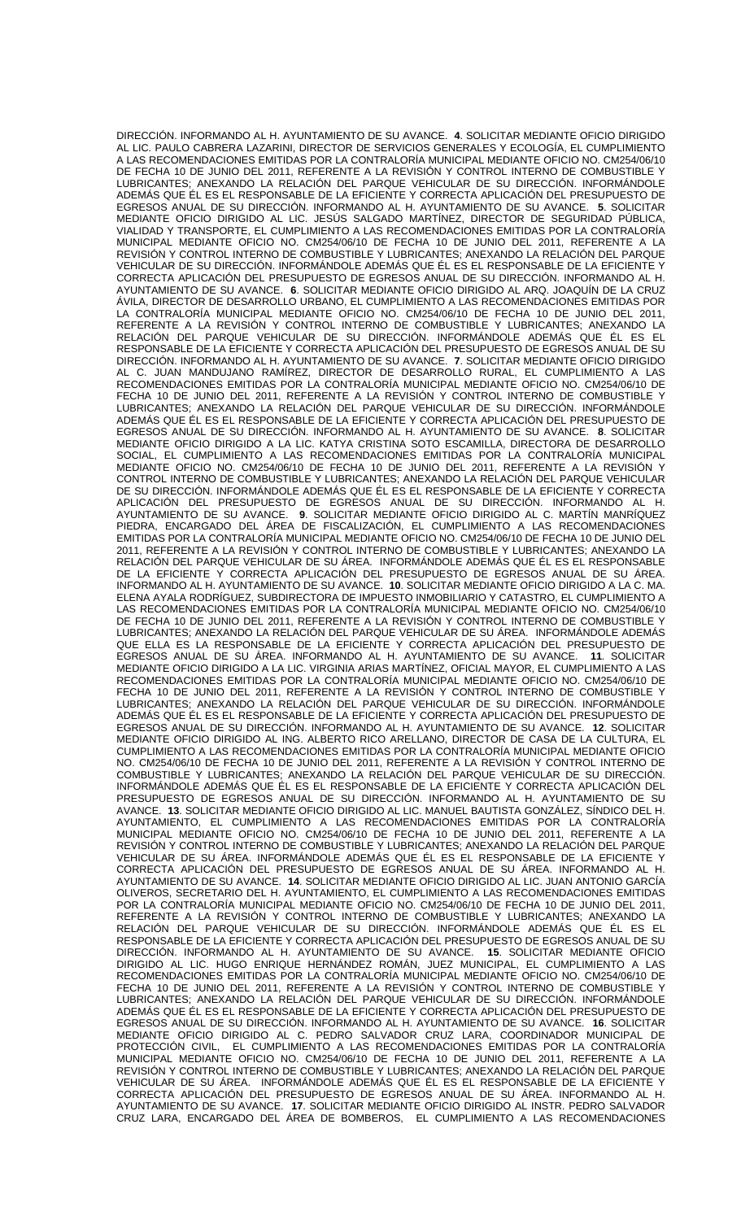DIRECCIÓN. INFORMANDO AL H. AYUNTAMIENTO DE SU AVANCE. **4**. SOLICITAR MEDIANTE OFICIO DIRIGIDO AL LIC. PAULO CABRERA LAZARINI, DIRECTOR DE SERVICIOS GENERALES Y ECOLOGÍA, EL CUMPLIMIENTO A LAS RECOMENDACIONES EMITIDAS POR LA CONTRALORÍA MUNICIPAL MEDIANTE OFICIO NO. CM254/06/10 DE FECHA 10 DE JUNIO DEL 2011, REFERENTE A LA REVISIÓN Y CONTROL INTERNO DE COMBUSTIBLE Y LUBRICANTES; ANEXANDO LA RELACIÓN DEL PARQUE VEHICULAR DE SU DIRECCIÓN. INFORMÁNDOLE ADEMÁS QUE ÉL ES EL RESPONSABLE DE LA EFICIENTE Y CORRECTA APLICACIÓN DEL PRESUPUESTO DE EGRESOS ANUAL DE SU DIRECCIÓN. INFORMANDO AL H. AYUNTAMIENTO DE SU AVANCE. **5**. SOLICITAR MEDIANTE OFICIO DIRIGIDO AL LIC. JESÚS SALGADO MARTÍNEZ, DIRECTOR DE SEGURIDAD PÚBLICA, VIALIDAD Y TRANSPORTE, EL CUMPLIMIENTO A LAS RECOMENDACIONES EMITIDAS POR LA CONTRALORÍA MUNICIPAL MEDIANTE OFICIO NO. CM254/06/10 DE FECHA 10 DE JUNIO DEL 2011, REFERENTE A LA REVISIÓN Y CONTROL INTERNO DE COMBUSTIBLE Y LUBRICANTES; ANEXANDO LA RELACIÓN DEL PARQUE VEHICULAR DE SU DIRECCIÓN. INFORMÁNDOLE ADEMÁS QUE ÉL ES EL RESPONSABLE DE LA EFICIENTE Y CORRECTA APLICACIÓN DEL PRESUPUESTO DE EGRESOS ANUAL DE SU DIRECCIÓN. INFORMANDO AL H. AYUNTAMIENTO DE SU AVANCE. **6**. SOLICITAR MEDIANTE OFICIO DIRIGIDO AL ARQ. JOAQUÍN DE LA CRUZ ÁVILA, DIRECTOR DE DESARROLLO URBANO, EL CUMPLIMIENTO A LAS RECOMENDACIONES EMITIDAS POR LA CONTRALORÍA MUNICIPAL MEDIANTE OFICIO NO. CM254/06/10 DE FECHA 10 DE JUNIO DEL 2011, REFERENTE A LA REVISIÓN Y CONTROL INTERNO DE COMBUSTIBLE Y LUBRICANTES; ANEXANDO LA RELACIÓN DEL PARQUE VEHICULAR DE SU DIRECCIÓN. INFORMÁNDOLE ADEMÁS QUE ÉL ES EL RESPONSABLE DE LA EFICIENTE Y CORRECTA APLICACIÓN DEL PRESUPUESTO DE EGRESOS ANUAL DE SU DIRECCIÓN. INFORMANDO AL H. AYUNTAMIENTO DE SU AVANCE. **7**. SOLICITAR MEDIANTE OFICIO DIRIGIDO AL C. JUAN MANDUJANO RAMÍREZ, DIRECTOR DE DESARROLLO RURAL, EL CUMPLIMIENTO A LAS RECOMENDACIONES EMITIDAS POR LA CONTRALORÍA MUNICIPAL MEDIANTE OFICIO NO. CM254/06/10 DE FECHA 10 DE JUNIO DEL 2011, REFERENTE A LA REVISIÓN Y CONTROL INTERNO DE COMBUSTIBLE Y LUBRICANTES; ANEXANDO LA RELACIÓN DEL PARQUE VEHICULAR DE SU DIRECCIÓN. INFORMÁNDOLE ADEMÁS QUE ÉL ES EL RESPONSABLE DE LA EFICIENTE Y CORRECTA APLICACIÓN DEL PRESUPUESTO DE EGRESOS ANUAL DE SU DIRECCIÓN. INFORMANDO AL H. AYUNTAMIENTO DE SU AVANCE. **8**. SOLICITAR MEDIANTE OFICIO DIRIGIDO A LA LIC. KATYA CRISTINA SOTO ESCAMILLA, DIRECTORA DE DESARROLLO SOCIAL, EL CUMPLIMIENTO A LAS RECOMENDACIONES EMITIDAS POR LA CONTRALORÍA MUNICIPAL MEDIANTE OFICIO NO. CM254/06/10 DE FECHA 10 DE JUNIO DEL 2011, REFERENTE A LA REVISIÓN Y CONTROL INTERNO DE COMBUSTIBLE Y LUBRICANTES; ANEXANDO LA RELACIÓN DEL PARQUE VEHICULAR DE SU DIRECCIÓN. INFORMÁNDOLE ADEMÁS QUE ÉL ES EL RESPONSABLE DE LA EFICIENTE Y CORRECTA APLICACIÓN DEL PRESUPUESTO DE EGRESOS ANUAL DE SU DIRECCIÓN. INFORMANDO AL H. AYUNTAMIENTO DE SU AVANCE. **9**. SOLICITAR MEDIANTE OFICIO DIRIGIDO AL C. MARTÍN MANRÍQUEZ PIEDRA, ENCARGADO DEL ÁREA DE FISCALIZACIÓN, EL CUMPLIMIENTO A LAS RECOMENDACIONES EMITIDAS POR LA CONTRALORÍA MUNICIPAL MEDIANTE OFICIO NO. CM254/06/10 DE FECHA 10 DE JUNIO DEL 2011, REFERENTE A LA REVISIÓN Y CONTROL INTERNO DE COMBUSTIBLE Y LUBRICANTES; ANEXANDO LA RELACIÓN DEL PARQUE VEHICULAR DE SU ÁREA. INFORMÁNDOLE ADEMÁS QUE ÉL ES EL RESPONSABLE DE LA EFICIENTE Y CORRECTA APLICACIÓN DEL PRESUPUESTO DE EGRESOS ANUAL DE SU ÁREA. INFORMANDO AL H. AYUNTAMIENTO DE SU AVANCE. **10**. SOLICITAR MEDIANTE OFICIO DIRIGIDO A LA C. MA. ELENA AYALA RODRÍGUEZ, SUBDIRECTORA DE IMPUESTO INMOBILIARIO Y CATASTRO, EL CUMPLIMIENTO A LAS RECOMENDACIONES EMITIDAS POR LA CONTRALORÍA MUNICIPAL MEDIANTE OFICIO NO. CM254/06/10 DE FECHA 10 DE JUNIO DEL 2011, REFERENTE A LA REVISIÓN Y CONTROL INTERNO DE COMBUSTIBLE Y LUBRICANTES; ANEXANDO LA RELACIÓN DEL PARQUE VEHICULAR DE SU ÁREA. INFORMÁNDOLE ADEMÁS QUE ELLA ES LA RESPONSABLE DE LA EFICIENTE Y CORRECTA APLICACIÓN DEL PRESUPUESTO DE EGRESOS ANUAL DE SU ÁREA. INFORMANDO AL H. AYUNTAMIENTO DE SU AVANCE. **11**. SOLICITAR MEDIANTE OFICIO DIRIGIDO A LA LIC. VIRGINIA ARIAS MARTÍNEZ, OFICIAL MAYOR, EL CUMPLIMIENTO A LAS RECOMENDACIONES EMITIDAS POR LA CONTRALORÍA MUNICIPAL MEDIANTE OFICIO NO. CM254/06/10 DE FECHA 10 DE JUNIO DEL 2011, REFERENTE A LA REVISIÓN Y CONTROL INTERNO DE COMBUSTIBLE Y LUBRICANTES; ANEXANDO LA RELACIÓN DEL PARQUE VEHICULAR DE SU DIRECCIÓN. INFORMÁNDOLE ADEMÁS QUE ÉL ES EL RESPONSABLE DE LA EFICIENTE Y CORRECTA APLICACIÓN DEL PRESUPUESTO DE EGRESOS ANUAL DE SU DIRECCIÓN. INFORMANDO AL H. AYUNTAMIENTO DE SU AVANCE. **12**. SOLICITAR MEDIANTE OFICIO DIRIGIDO AL ING. ALBERTO RICO ARELLANO, DIRECTOR DE CASA DE LA CULTURA, EL CUMPLIMIENTO A LAS RECOMENDACIONES EMITIDAS POR LA CONTRALORÍA MUNICIPAL MEDIANTE OFICIO NO. CM254/06/10 DE FECHA 10 DE JUNIO DEL 2011, REFERENTE A LA REVISIÓN Y CONTROL INTERNO DE COMBUSTIBLE Y LUBRICANTES; ANEXANDO LA RELACIÓN DEL PARQUE VEHICULAR DE SU DIRECCIÓN. INFORMÁNDOLE ADEMÁS QUE ÉL ES EL RESPONSABLE DE LA EFICIENTE Y CORRECTA APLICACIÓN DEL PRESUPUESTO DE EGRESOS ANUAL DE SU DIRECCIÓN. INFORMANDO AL H. AYUNTAMIENTO DE SU AVANCE. **13**. SOLICITAR MEDIANTE OFICIO DIRIGIDO AL LIC. MANUEL BAUTISTA GONZÁLEZ, SÍNDICO DEL H. AYUNTAMIENTO, EL CUMPLIMIENTO A LAS RECOMENDACIONES EMITIDAS POR LA CONTRALORÍA MUNICIPAL MEDIANTE OFICIO NO. CM254/06/10 DE FECHA 10 DE JUNIO DEL 2011, REFERENTE A LA REVISIÓN Y CONTROL INTERNO DE COMBUSTIBLE Y LUBRICANTES; ANEXANDO LA RELACIÓN DEL PARQUE VEHICULAR DE SU ÁREA. INFORMÁNDOLE ADEMÁS QUE ÉL ES EL RESPONSABLE DE LA EFICIENTE Y CORRECTA APLICACIÓN DEL PRESUPUESTO DE EGRESOS ANUAL DE SU ÁREA. INFORMANDO AL H. AYUNTAMIENTO DE SU AVANCE. **14**. SOLICITAR MEDIANTE OFICIO DIRIGIDO AL LIC. JUAN ANTONIO GARCÍA OLIVEROS, SECRETARIO DEL H. AYUNTAMIENTO, EL CUMPLIMIENTO A LAS RECOMENDACIONES EMITIDAS POR LA CONTRALORÍA MUNICIPAL MEDIANTE OFICIO NO. CM254/06/10 DE FECHA 10 DE JUNIO DEL 2011, REFERENTE A LA REVISIÓN Y CONTROL INTERNO DE COMBUSTIBLE Y LUBRICANTES; ANEXANDO LA RELACIÓN DEL PARQUE VEHICULAR DE SU DIRECCIÓN. INFORMÁNDOLE ADEMÁS QUE ÉL ES EL RESPONSABLE DE LA EFICIENTE Y CORRECTA APLICACIÓN DEL PRESUPUESTO DE EGRESOS ANUAL DE SU DIRECCIÓN. INFORMANDO AL H. AYUNTAMIENTO DE SU AVANCE. **15**. SOLICITAR MEDIANTE OFICIO DIRIGIDO AL LIC. HUGO ENRIQUE HERNÁNDEZ ROMÁN, JUEZ MUNICIPAL, EL CUMPLIMIENTO A LAS RECOMENDACIONES EMITIDAS POR LA CONTRALORÍA MUNICIPAL MEDIANTE OFICIO NO. CM254/06/10 DE FECHA 10 DE JUNIO DEL 2011, REFERENTE A LA REVISIÓN Y CONTROL INTERNO DE COMBUSTIBLE Y LUBRICANTES; ANEXANDO LA RELACIÓN DEL PARQUE VEHICULAR DE SU DIRECCIÓN. INFORMÁNDOLE ADEMÁS QUE ÉL ES EL RESPONSABLE DE LA EFICIENTE Y CORRECTA APLICACIÓN DEL PRESUPUESTO DE EGRESOS ANUAL DE SU DIRECCIÓN. INFORMANDO AL H. AYUNTAMIENTO DE SU AVANCE. **16**. SOLICITAR MEDIANTE OFICIO DIRIGIDO AL C. PEDRO SALVADOR CRUZ LARA, COORDINADOR MUNICIPAL DE PROTECCIÓN CIVIL, EL CUMPLIMIENTO A LAS RECOMENDACIONES EMITIDAS POR LA CONTRALORÍA MUNICIPAL MEDIANTE OFICIO NO. CM254/06/10 DE FECHA 10 DE JUNIO DEL 2011, REFERENTE A LA REVISIÓN Y CONTROL INTERNO DE COMBUSTIBLE Y LUBRICANTES; ANEXANDO LA RELACIÓN DEL PARQUE VEHICULAR DE SU ÁREA. INFORMÁNDOLE ADEMÁS QUE ÉL ES EL RESPONSABLE DE LA EFICIENTE Y CORRECTA APLICACIÓN DEL PRESUPUESTO DE EGRESOS ANUAL DE SU ÁREA. INFORMANDO AL H. AYUNTAMIENTO DE SU AVANCE. **17**. SOLICITAR MEDIANTE OFICIO DIRIGIDO AL INSTR. PEDRO SALVADOR CRUZ LARA, ENCARGADO DEL ÁREA DE BOMBEROS, EL CUMPLIMIENTO A LAS RECOMENDACIONES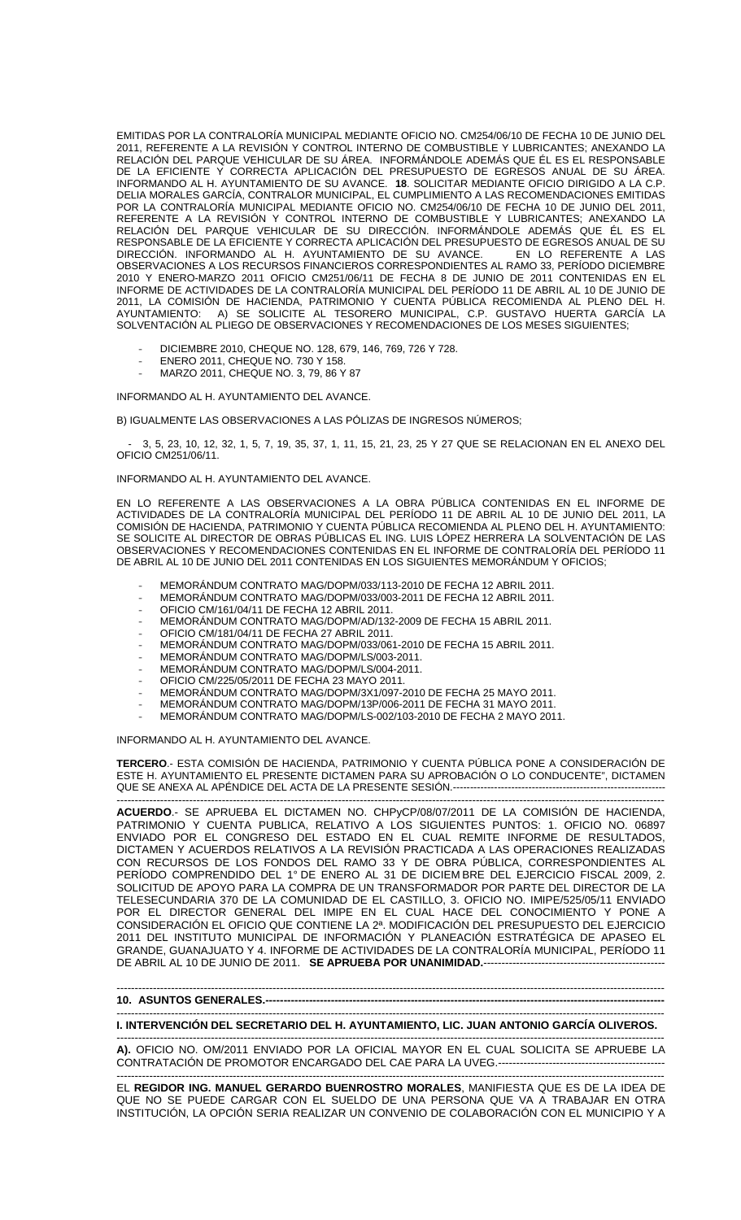EMITIDAS POR LA CONTRALORÍA MUNICIPAL MEDIANTE OFICIO NO. CM254/06/10 DE FECHA 10 DE JUNIO DEL 2011, REFERENTE A LA REVISIÓN Y CONTROL INTERNO DE COMBUSTIBLE Y LUBRICANTES; ANEXANDO LA RELACIÓN DEL PARQUE VEHICULAR DE SU ÁREA. INFORMÁNDOLE ADEMÁS QUE ÉL ES EL RESPONSABLE DE LA EFICIENTE Y CORRECTA APLICACIÓN DEL PRESUPUESTO DE EGRESOS ANUAL DE SU ÁREA. INFORMANDO AL H. AYUNTAMIENTO DE SU AVANCE. **18**. SOLICITAR MEDIANTE OFICIO DIRIGIDO A LA C.P. DELIA MORALES GARCÍA, CONTRALOR MUNICIPAL, EL CUMPLIMIENTO A LAS RECOMENDACIONES EMITIDAS POR LA CONTRALORÍA MUNICIPAL MEDIANTE OFICIO NO. CM254/06/10 DE FECHA 10 DE JUNIO DEL 2011, REFERENTE A LA REVISIÓN Y CONTROL INTERNO DE COMBUSTIBLE Y LUBRICANTES; ANEXANDO LA RELACIÓN DEL PARQUE VEHICULAR DE SU DIRECCIÓN. INFORMÁNDOLE ADEMÁS QUE ÉL ES EL RESPONSABLE DE LA EFICIENTE Y CORRECTA APLICACIÓN DEL PRESUPUESTO DE EGRESOS ANUAL DE SU DIRECCIÓN. INFORMANDO AL H. AYUNTAMIENTO DE SU AVANCE. EN LO REFERENTE A LAS OBSERVACIONES A LOS RECURSOS FINANCIEROS CORRESPONDIENTES AL RAMO 33, PERÍODO DICIEMBRE 2010 Y ENERO-MARZO 2011 OFICIO CM251/06/11 DE FECHA 8 DE JUNIO DE 2011 CONTENIDAS EN EL INFORME DE ACTIVIDADES DE LA CONTRALORÍA MUNICIPAL DEL PERÍODO 11 DE ABRIL AL 10 DE JUNIO DE 2011, LA COMISIÓN DE HACIENDA, PATRIMONIO Y CUENTA PÚBLICA RECOMIENDA AL PLENO DEL H. AYUNTAMIENTO: A) SE SOLICITE AL TESORERO MUNICIPAL, C.P. GUSTAVO HUERTA GARCÍA LA SOLVENTACIÓN AL PLIEGO DE OBSERVACIONES Y RECOMENDACIONES DE LOS MESES SIGUIENTES;

- DICIEMBRE 2010, CHEQUE NO. 128, 679, 146, 769, 726 Y 728.
- ENERO 2011, CHEQUE NO. 730 Y 158.
- MARZO 2011, CHEQUE NO. 3, 79, 86 Y 87

INFORMANDO AL H. AYUNTAMIENTO DEL AVANCE.

B) IGUALMENTE LAS OBSERVACIONES A LAS PÓLIZAS DE INGRESOS NÚMEROS;

 - 3, 5, 23, 10, 12, 32, 1, 5, 7, 19, 35, 37, 1, 11, 15, 21, 23, 25 Y 27 QUE SE RELACIONAN EN EL ANEXO DEL OFICIO CM251/06/11.

INFORMANDO AL H. AYUNTAMIENTO DEL AVANCE.

EN LO REFERENTE A LAS OBSERVACIONES A LA OBRA PÚBLICA CONTENIDAS EN EL INFORME DE ACTIVIDADES DE LA CONTRALORÍA MUNICIPAL DEL PERÍODO 11 DE ABRIL AL 10 DE JUNIO DEL 2011, LA COMISIÓN DE HACIENDA, PATRIMONIO Y CUENTA PÚBLICA RECOMIENDA AL PLENO DEL H. AYUNTAMIENTO: SE SOLICITE AL DIRECTOR DE OBRAS PÚBLICAS EL ING. LUIS LÓPEZ HERRERA LA SOLVENTACIÓN DE LAS OBSERVACIONES Y RECOMENDACIONES CONTENIDAS EN EL INFORME DE CONTRALORÍA DEL PERÍODO 11 DE ABRIL AL 10 DE JUNIO DEL 2011 CONTENIDAS EN LOS SIGUIENTES MEMORÁNDUM Y OFICIOS;

- MEMORÁNDUM CONTRATO MAG/DOPM/033/113-2010 DE FECHA 12 ABRIL 2011.
- MEMORÁNDUM CONTRATO MAG/DOPM/033/003-2011 DE FECHA 12 ABRIL 2011.
- OFICIO CM/161/04/11 DE FECHA 12 ABRIL 2011.
- MEMORÁNDUM CONTRATO MAG/DOPM/AD/132-2009 DE FECHA 15 ABRIL 2011.
- OFICIO CM/181/04/11 DE FECHA 27 ABRIL 2011.
- MEMORÁNDUM CONTRATO MAG/DOPM/033/061-2010 DE FECHA 15 ABRIL 2011.
- MEMORÁNDUM CONTRATO MAG/DOPM/LS/003-2011.
- MEMORÁNDUM CONTRATO MAG/DOPM/LS/004-2011.
- OFICIO CM/225/05/2011 DE FECHA 23 MAYO 2011.
- MEMORÁNDUM CONTRATO MAG/DOPM/3X1/097-2010 DE FECHA 25 MAYO 2011.
- MEMORÁNDUM CONTRATO MAG/DOPM/13P/006-2011 DE FECHA 31 MAYO 2011.
- MEMORÁNDUM CONTRATO MAG/DOPM/LS-002/103-2010 DE FECHA 2 MAYO 2011.

INFORMANDO AL H. AYUNTAMIENTO DEL AVANCE.

**TERCERO**.- ESTA COMISIÓN DE HACIENDA, PATRIMONIO Y CUENTA PÚBLICA PONE A CONSIDERACIÓN DE ESTE H. AYUNTAMIENTO EL PRESENTE DICTAMEN PARA SU APROBACIÓN O LO CONDUCENTE", DICTAMEN QUE SE ANEXA AL APÉNDICE DEL ACTA DE LA PRESENTE SESIÓN.--------------------------------------------------------------

------------------------------------------------------------------------------------------------------------------------------------------------------- **ACUERDO**.- SE APRUEBA EL DICTAMEN NO. CHPyCP/08/07/2011 DE LA COMISIÓN DE HACIENDA, PATRIMONIO Y CUENTA PUBLICA, RELATIVO A LOS SIGUIENTES PUNTOS: 1. OFICIO NO. 06897 ENVIADO POR EL CONGRESO DEL ESTADO EN EL CUAL REMITE INFORME DE RESULTADOS, DICTAMEN Y ACUERDOS RELATIVOS A LA REVISIÓN PRACTICADA A LAS OPERACIONES REALIZADAS CON RECURSOS DE LOS FONDOS DEL RAMO 33 Y DE OBRA PÚBLICA, CORRESPONDIENTES AL PERÍODO COMPRENDIDO DEL 1° DE ENERO AL 31 DE DICIEM BRE DEL EJERCICIO FISCAL 2009, 2. SOLICITUD DE APOYO PARA LA COMPRA DE UN TRANSFORMADOR POR PARTE DEL DIRECTOR DE LA TELESECUNDARIA 370 DE LA COMUNIDAD DE EL CASTILLO, 3. OFICIO NO. IMIPE/525/05/11 ENVIADO POR EL DIRECTOR GENERAL DEL IMIPE EN EL CUAL HACE DEL CONOCIMIENTO Y PONE A CONSIDERACIÓN EL OFICIO QUE CONTIENE LA 2ª. MODIFICACIÓN DEL PRESUPUESTO DEL EJERCICIO 2011 DEL INSTITUTO MUNICIPAL DE INFORMACIÓN Y PLANEACIÓN ESTRATÉGICA DE APASEO EL GRANDE, GUANAJUATO Y 4. INFORME DE ACTIVIDADES DE LA CONTRALORÍA MUNICIPAL, PERÍODO 11 DE ABRIL AL 10 DE JUNIO DE 2011. **SE APRUEBA POR UNANIMIDAD.**-----

-------------------------------------------------------------------------------------------------------------------------------------------------------

**10. ASUNTOS GENERALES.---**-------------------------------------------------------------------------------------------------------------------------------------------------------

**I. INTERVENCIÓN DEL SECRETARIO DEL H. AYUNTAMIENTO, LIC. JUAN ANTONIO GARCÍA OLIVEROS.** 

------------------------------------------------------------------------------------------------------------------------------------------------------- **A).** OFICIO NO. OM/2011 ENVIADO POR LA OFICIAL MAYOR EN EL CUAL SOLICITA SE APRUEBE LA CONTRATACIÓN DE PROMOTOR ENCARGADO DEL CAE PARA LA UVEG.---------------------------------------------- -------------------------------------------------------------------------------------------------------------------------------------------------------

EL **REGIDOR ING. MANUEL GERARDO BUENROSTRO MORALES**, MANIFIESTA QUE ES DE LA IDEA DE QUE NO SE PUEDE CARGAR CON EL SUELDO DE UNA PERSONA QUE VA A TRABAJAR EN OTRA INSTITUCIÓN, LA OPCIÓN SERIA REALIZAR UN CONVENIO DE COLABORACIÓN CON EL MUNICIPIO Y A